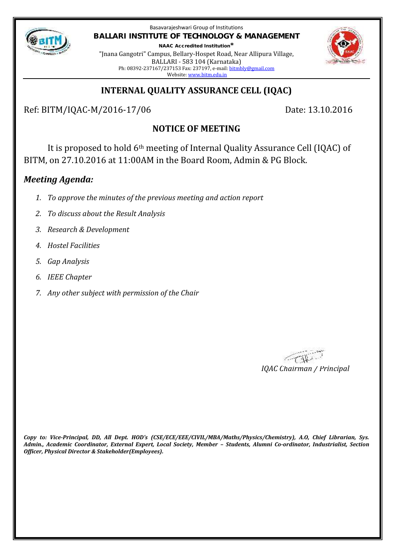

Basavarajeshwari Group of Institutions **BALLARI INSTITUTE OF TECHNOLOGY & MANAGEMENT NAAC Accredited Institution\***

"Jnana Gangotri" Campus, Bellary-Hospet Road, Near Allipura Village, BALLARI - 583 104 (Karnataka) Ph: 08392-237167/237153 Fax: 237197, e-mail: bitmbly@gmail.com Website: www.bitm.edu.in



### **INTERNAL QUALITY ASSURANCE CELL (IQAC)**

Ref: BITM/IQAC-M/2016-17/06 Date: 13.10.2016

# **NOTICE OF MEETING**

It is proposed to hold 6th meeting of Internal Quality Assurance Cell (IQAC) of BITM, on 27.10.2016 at 11:00AM in the Board Room, Admin & PG Block.

### *Meeting Agenda:*

- *1. To approve the minutes of the previous meeting and action report*
- *2. To discuss about the Result Analysis*
- *3. Research & Development*
- *4. Hostel Facilities*
- *5. Gap Analysis*
- *6. IEEE Chapter*
- *7. Any other subject with permission of the Chair*

*IQAC Chairman / Principal*

*Copy to: Vice-Principal, DD, All Dept. HOD's (CSE/ECE/EEE/CIVIL/MBA/Maths/Physics/Chemistry), A.O, Chief Librarian, Sys. Admin., Academic Coordinator, External Expert, Local Society, Member – Students, Alumni Co-ordinator, Industrialist, Section Officer, Physical Director & Stakeholder(Employees).*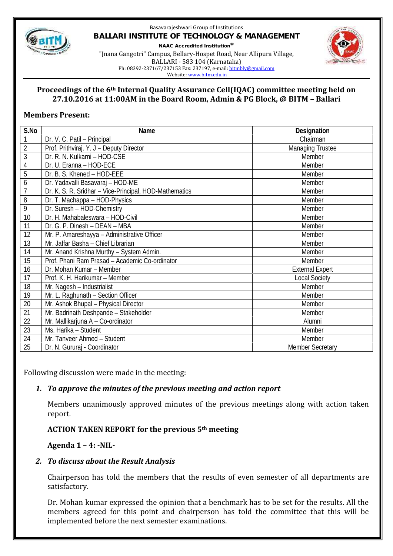

#### Basavarajeshwari Group of Institutions **BALLARI INSTITUTE OF TECHNOLOGY & MANAGEMENT NAAC Accredited Institution\*** "Jnana Gangotri" Campus, Bellary-Hospet Road, Near Allipura Village, BALLARI - 583 104 (Karnataka) Ph: 08392-237167/237153 Fax: 237197, e-mail: bitmbly@gmail.com



Website: www.bitm.edu.in

### **Proceedings of the 6th Internal Quality Assurance Cell(IQAC) committee meeting held on 27.10.2016 at 11:00AM in the Board Room, Admin & PG Block, @ BITM – Ballari**

### **Members Present:**

| S.No           | Name                                                   | Designation             |
|----------------|--------------------------------------------------------|-------------------------|
| 1              | Dr. V. C. Patil - Principal                            | Chairman                |
| $\overline{2}$ | Prof. Prithviraj. Y. J - Deputy Director               | <b>Managing Trustee</b> |
| $\overline{3}$ | Dr. R. N. Kulkarni - HOD-CSE                           | Member                  |
| 4              | Dr. U. Eranna - HOD-ECE                                | Member                  |
| 5              | Dr. B. S. Khened - HOD-EEE                             | Member                  |
| 6              | Dr. Yadavalli Basavaraj - HOD-ME                       | Member                  |
| $\overline{1}$ | Dr. K. S. R. Sridhar - Vice-Principal, HOD-Mathematics | Member                  |
| 8              | Dr. T. Machappa - HOD-Physics                          | Member                  |
| 9              | Dr. Suresh - HOD-Chemistry                             | Member                  |
| 10             | Dr. H. Mahabaleswara - HOD-Civil                       | Member                  |
| 11             | Dr. G. P. Dinesh - DEAN - MBA                          | Member                  |
| 12             | Mr. P. Amareshayya - Administrative Officer            | Member                  |
| 13             | Mr. Jaffar Basha - Chief Librarian                     | Member                  |
| 14             | Mr. Anand Krishna Murthy - System Admin.               | Member                  |
| 15             | Prof. Phani Ram Prasad - Academic Co-ordinator         | Member                  |
| 16             | Dr. Mohan Kumar - Member                               | <b>External Expert</b>  |
| 17             | Prof. K. H. Harikumar - Member                         | <b>Local Society</b>    |
| 18             | Mr. Nagesh - Industrialist                             | Member                  |
| 19             | Mr. L. Raghunath - Section Officer                     | Member                  |
| 20             | Mr. Ashok Bhupal - Physical Director                   | Member                  |
| 21             | Mr. Badrinath Deshpande - Stakeholder                  | Member                  |
| 22             | Mr. Mallikarjuna A - Co-ordinator                      | Alumni                  |
| 23             | Ms. Harika - Student                                   | Member                  |
| 24             | Mr. Tanveer Ahmed - Student                            | Member                  |
| 25             | Dr. N. Gururaj - Coordinator                           | <b>Member Secretary</b> |

Following discussion were made in the meeting:

# *1. To approve the minutes of the previous meeting and action report*

Members unanimously approved minutes of the previous meetings along with action taken report.

# **ACTION TAKEN REPORT for the previous 5th meeting**

# **Agenda 1 – 4: -NIL-**

# *2. To discuss about the Result Analysis*

Chairperson has told the members that the results of even semester of all departments are satisfactory.

Dr. Mohan kumar expressed the opinion that a benchmark has to be set for the results. All the members agreed for this point and chairperson has told the committee that this will be implemented before the next semester examinations.